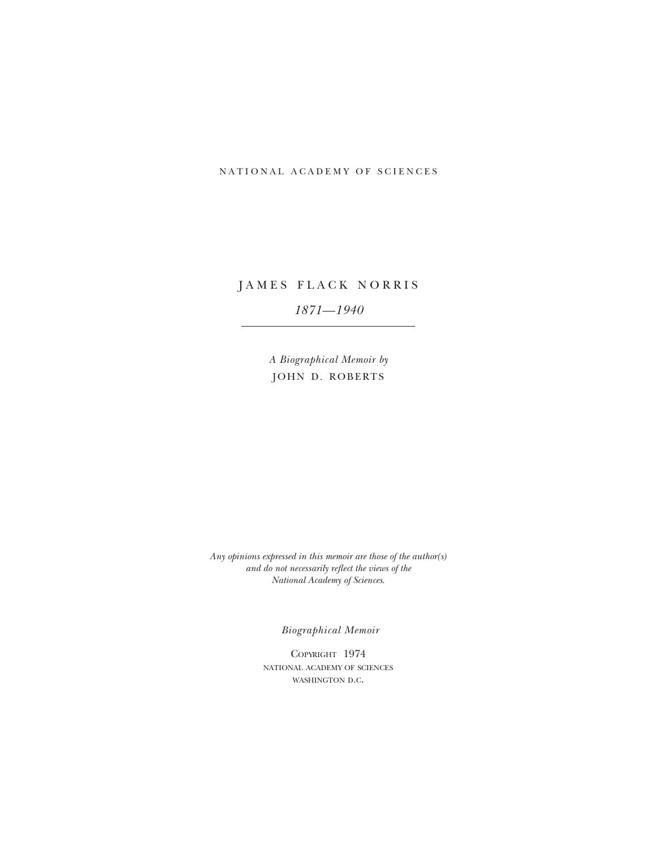## NATIONAL ACADEMY OF SCIENCES

# JAMES FLACK NORRIS

# *1871—1940*

*A Biographical Memoir by* JOHN D. ROBERTS

*Any opinions expressed in this memoir are those of the author(s) and do not necessarily reflect the views of the National Academy of Sciences*.

*Biographical Memoir*

COPYRIGHT 1974 national academy of sciences WASHINGTON D.C.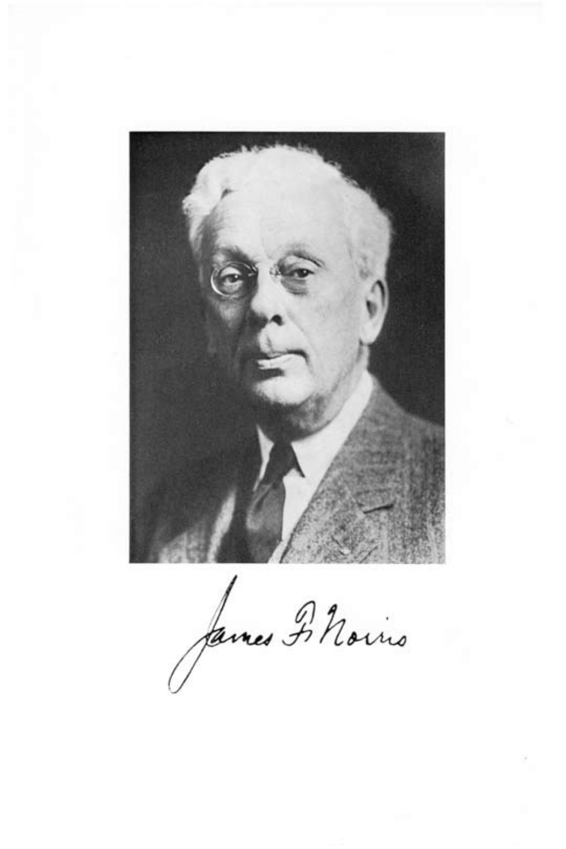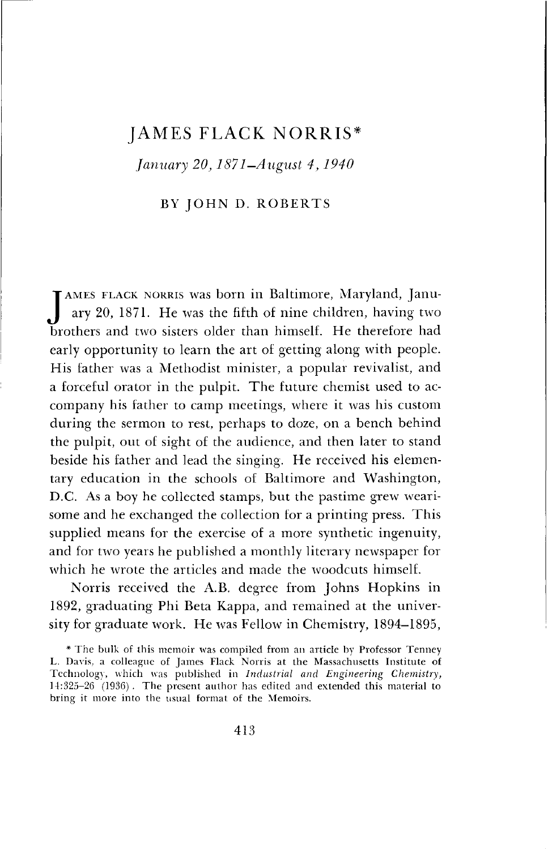# JAMES FLACK NORRIS\*

*January 20,1871-August 4, 1940*

## BY JOHN D. ROBERTS

JAMES FLACK NORRIS was born in Baltimore, Maryland, January 20, 1871. He was the fifth of nine children, having two<br>brothers and two sisters older than himself. He therefore had AMES FLACK NORRIS was born in Baltimore, Maryland, January 20, 1871. He was the fifth of nine children, having two early opportunity to learn the art of getting along with people. His father was a Methodist minister, a popular revivalist, and a forceful orator in the pulpit. The future chemist used to accompany his father to camp meetings, where it was his custom during the sermon to rest, perhaps to doze, on a bench behind the pulpit, out of sight of the audience, and then later to stand beside his father and lead the singing. He received his elementary education in the schools of Baltimore and Washington, D.C. As a boy he collected stamps, but the pastime grew wearisome and he exchanged the collection for a printing press. This supplied means for the exercise of a more synthetic ingenuity, and for two years he published a monthly literary newspaper for which he wrote the articles and made the woodcuts himself.

Norris received the A.B. degree from Johns Hopkins in 1892, graduating Phi Beta Kappa, and remained at the university for graduate work. He was Fellow in Chemistry, 1894—1895,

<sup>\*</sup> The bulk of this memoir was compiled from an article by Professor Tenney L. Davis, a colleague of James Flack Norris at the Massachusetts Institute of Technology, which was published in *Industrial and Engineering Chemistry,* 14:325-26 (1936) . The present author has edited and extended this material to bring it more into the usual format of the Memoirs.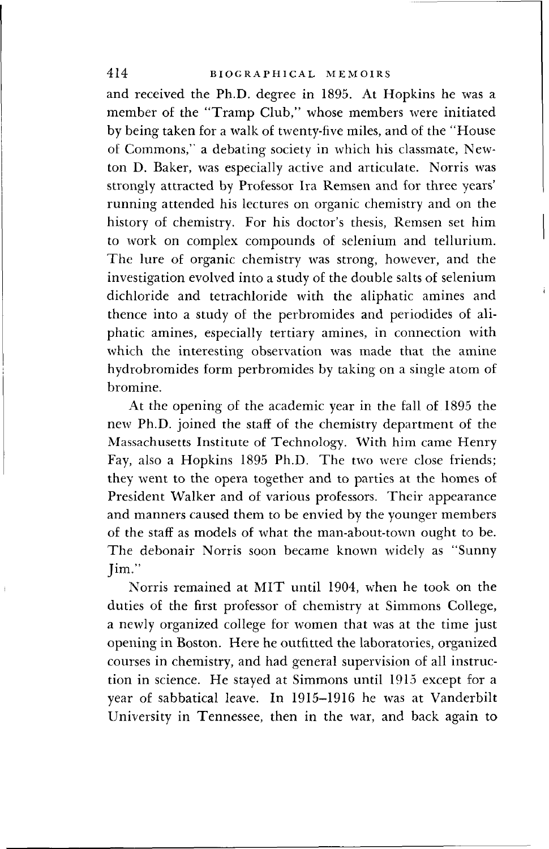and received the Ph.D. degree in 1895. At Hopkins he was a member of the "Tramp Club," whose members were initiated by being taken for a walk of twenty-five miles, and of the "House of Commons," a debating society in which his classmate, Newton D. Baker, was especially active and articulate. Norris was strongly attracted by Professor Ira Remsen and for three years' running attended his lectures on organic chemistry and on the history of chemistry. For his doctor's thesis, Remsen set him to work on complex compounds of selenium and tellurium. The lure of organic chemistry was strong, however, and the investigation evolved into a study of the double salts of selenium dichloride and tetrachloride with the aliphatic amines and thence into a study of the perbromides and periodides of aliphatic amines, especially tertiary amines, in connection with which the interesting observation was made that the amine hydrobromides form perbromides by taking on a single atom of bromine.

At the opening of the academic year in the fall of 1895 the new Ph.D. joined the staff of the chemistry department of the Massachusetts Institute of Technology. With him came Henry Fay, also a Hopkins 1895 Ph.D. The two were close friends; they went to the opera together and to parties at the homes of President Walker and of various professors. Their appearance and manners caused them to be envied by the younger members of the staff as models of what the man-about-town ought to be. The debonair Norris soon became known widely as "Sunny Jim."

Norris remained at MIT until 1904, when he took on the duties of the first professor of chemistry at Simmons College, a newly organized college for women that was at the time just opening in Boston. Here he outfitted the laboratories, organized courses in chemistry, and had general supervision of all instruction in science. He stayed at Simmons until 1915 except for a year of sabbatical leave. In 1915-1916 he was at Vanderbilt University in Tennessee, then in the war, and back again to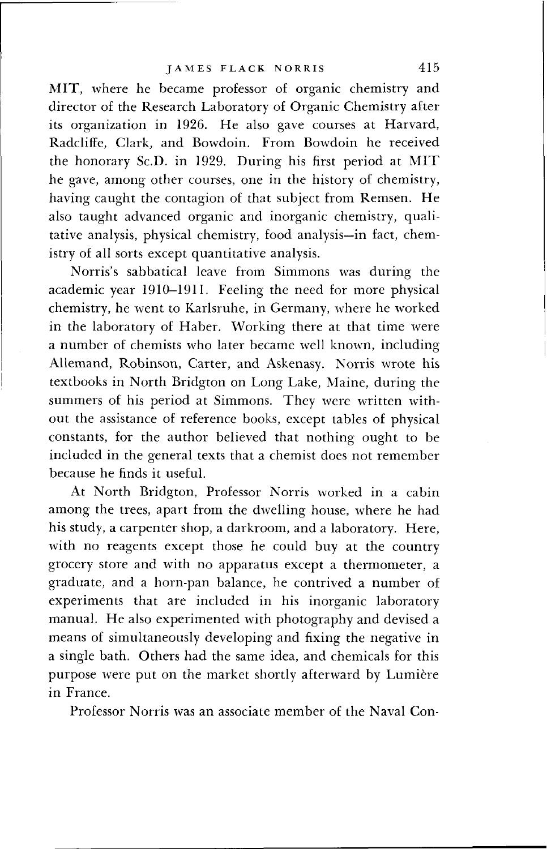MIT, where he became professor of organic chemistry and director of the Research Laboratory of Organic Chemistry after its organization in 1926. He also gave courses at Harvard, Radcliffe, Clark, and Bowdoin. From Bowdoin he received the honorary Sc.D. in 1929. During his first period at MIT he gave, among other courses, one in the history of chemistry, having caught the contagion of that subject from Remsen. He also taught advanced organic and inorganic chemistry, qualitative analysis, physical chemistry, food analysis—in fact, chemistry of all sorts except quantitative analysis.

Norris's sabbatical leave from Simmons was during the academic year 1910-1911. Feeling the need for more physical chemistry, he went to Karlsruhe, in Germany, where he worked in the laboratory of Haber. Working there at that time were a number of chemists who later became well known, including Allemand, Robinson, Carter, and Askenasy. Norris wrote his textbooks in North Bridgton on Long Lake, Maine, during the summers of his period at Simmons. They were written without the assistance of reference books, except tables of physical constants, for the author believed that nothing ought to be included in the general texts that a chemist does not remember because he finds it useful.

At North Bridgton, Professor Norris worked in a cabin among the trees, apart from the dwelling house, where he had his study, a carpenter shop, a darkroom, and a laboratory. Here, with no reagents except those he could buy at the country grocery store and with no apparatus except a thermometer, a graduate, and a horn-pan balance, he contrived a number of experiments that are included in his inorganic laboratory manual. He also experimented with photography and devised a means of simultaneously developing and fixing the negative in a single bath. Others had the same idea, and chemicals for this purpose were put on the market shortly afterward by Lumière in France.

Professor Norris was an associate member of the Naval Con-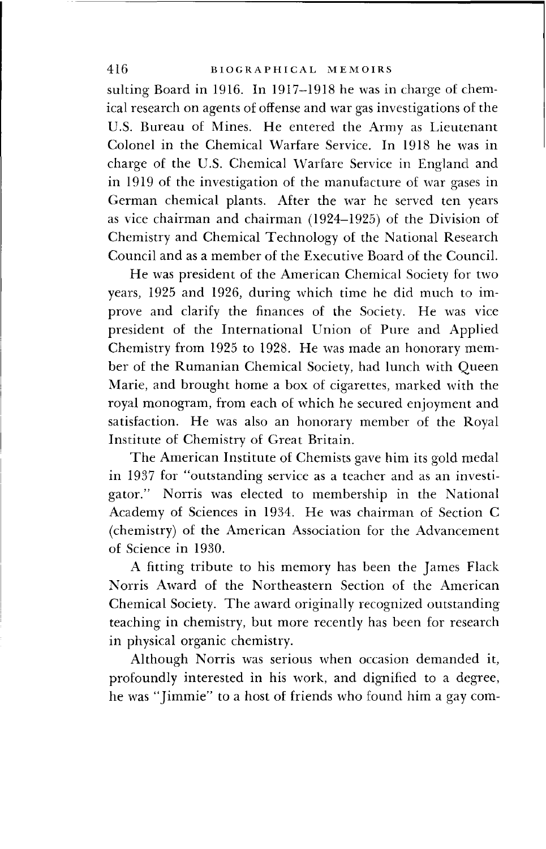## 416 BIOGRAPHICAL MEMOIRS

sulting Board in 1916. In 1917-1918 he was in charge of chemical research on agents of offense and war gas investigations of the U.S. Bureau of Mines. He entered the Army as Lieutenant Colonel in the Chemical Warfare Service. In 1918 he was in charge of the U.S. Chemical Warfare Service in England and in 1919 of the investigation of the manufacture of war gases in German chemical plants. After the war he served ten years as vice chairman and chairman (1924-1925) of the Division of Chemistry and Chemical Technology of the National Research Council and as a member of the Executive Board of the Council.

He was president of the American Chemical Society for two years, 1925 and 1926, during which time he did much to improve and clarify the finances of the Society. He was vice president of the International Union of Pure and Applied Chemistry from 1925 to 1928. He was made an honorary member of the Rumanian Chemical Society, had lunch with Queen Marie, and brought home a box of cigarettes, marked with the royal monogram, from each of which he secured enjoyment and satisfaction. He was also an honorary member of the Royal Institute of Chemistry of Great Britain.

The American Institute of Chemists gave him its gold medal in 1937 for "outstanding service as a teacher and as an investigator." Norris was elected to membership in the National Academy of Sciences in 1934. He was chairman of Section C (chemistry) of the American Association for the Advancement of Science in 1930.

A fitting tribute to his memory has been the James Flack Norris Award of the Northeastern Section of the American Chemical Society. The award originally recognized outstanding teaching in chemistry, but more recently has been for research in physical organic chemistry.

Although Norris was serious when occasion demanded it, profoundly interested in his work, and dignified to a degree, he was "Jimmie" to a host of friends who found him a gay com-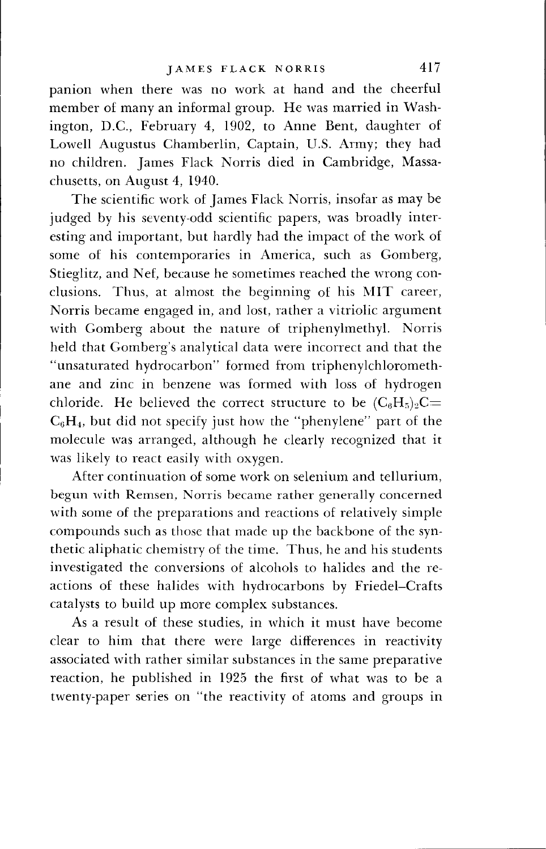panion when there was no work at hand and the cheerful member of many an informal group. He was married in Washington, D.C., February 4, 1902, to Anne Bent, daughter of Lowell Augustus Chamberlin, Captain, U.S. Army; they had no children. James Flack Norris died in Cambridge, Massachusetts, on August 4, 1940.

The scientific work of James Flack Norris, insofar as may be judged by his seventy-odd scientific papers, was broadly interesting and important, but hardly had the impact of the work of some of his contemporaries in America, such as Gomberg, Stieglitz, and Nef, because he sometimes reached the wrong conclusions. Thus, at almost the beginning of his MIT career, Norris became engaged in, and lost, rather a vitriolic argument with Gomberg about the nature of triphenylmethyl. Norris held that Gomberg's analytical data were incorrect and that the "unsaturated hydrocarbon" formed from triphenylchloromethane and zinc in benzene was formed with loss of hydrogen chloride. He believed the correct structure to be  $(C_6H_5)_2C=$  $C_6H_4$ , but did not specify just how the "phenylene" part of the molecule was arranged, although he clearly recognized that it was likely to react easily with oxygen.

After continuation of some work on selenium and tellurium, begun with Remsen, Norris became rather generally concerned with some of the preparations and reactions of relatively simple compounds such as those that made up the backbone of the synthetic aliphatic chemistry of the time. Thus, he and his students investigated the conversions of alcohols to halides and the reactions of these halides with hydrocarbons by Friedel—Crafts catalysts to build up more complex substances.

As a result of these studies, in which it must have become clear to him that there were large differences in reactivity associated with rather similar substances in the same preparative reaction, he published in 1925 the first of what was to be a twenty-paper series on "the reactivity of atoms and groups in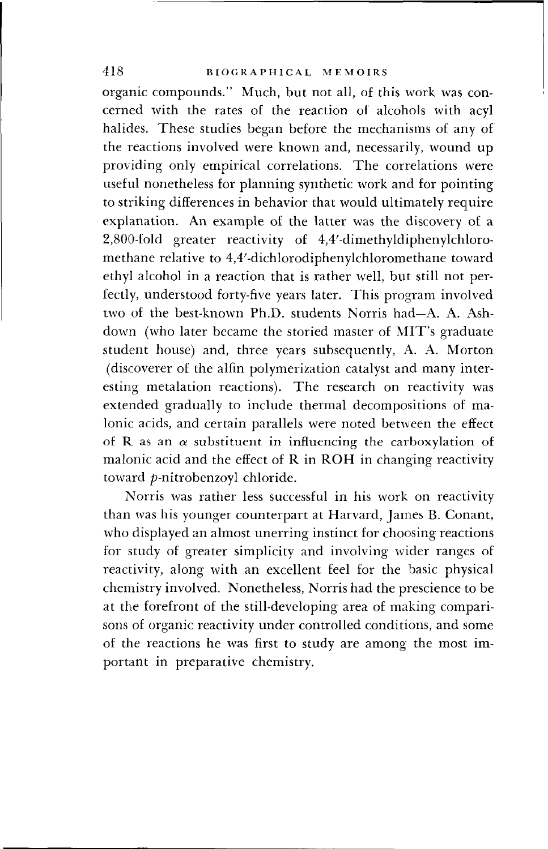organic compounds." Much, but not all, of this work was concerned with the rates of the reaction of alcohols with acyl halides. These studies began before the mechanisms of any of the reactions involved were known and, necessarily, wound up providing only empirical correlations. The correlations were useful nonetheless for planning synthetic work and for pointing to striking differences in behavior that would ultimately require explanation. An example of the latter was the discovery of a 2,800-fold greater reactivity of 4,4'-dimethyldiphenylchloromethane relative to 4,4'-dichlorodiphenylchloromethane toward ethyl alcohol in a reaction that is rather well, but still not perfectly, understood forty-five years later. This program involved two of the best-known Ph.D. students Norris had—A. A. Ashdown (who later became the storied master of MIT's graduate student house) and, three years subsequently, A. A. Morton (discoverer of the alfin polymerization catalyst and many interesting metalation reactions). The research on reactivity was extended gradually to include thermal decompositions of malonic acids, and certain parallels were noted between the effect of R as an  $\alpha$  substituent in influencing the carboxylation of malonic acid and the effect of R in ROH in changing reactivity toward p-nitrobenzoyl chloride.

Norris was rather less successful in his work on reactivity than was his younger counterpart at Harvard, James B. Conant, who displayed an almost unerring instinct for choosing reactions for study of greater simplicity and involving wider ranges of reactivity, along with an excellent feel for the basic physical chemistry involved. Nonetheless, Norris had the prescience to be at the forefront of the still-developing area of making comparisons of organic reactivity under controlled conditions, and some of the reactions he was first to study are among the most important in preparative chemistry.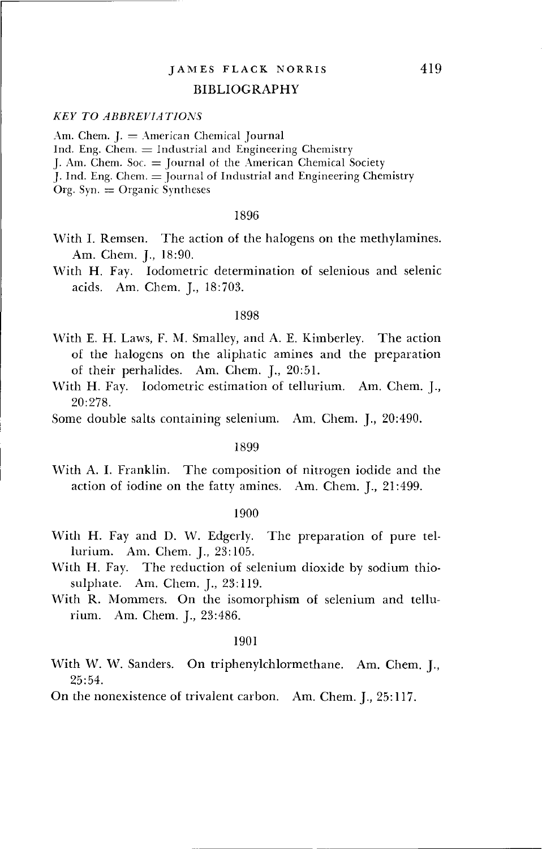#### BIBLIOGRAPHY

## *KEY TO ABBREVIATIONS*

Am. Chem.  $I = American Chemical Journal$ Ind. Eng. Chem.  $=$  Industrial and Engineering Chemistry I. Am. Chem.  $Soc =$  Journal of the American Chemical Society J. Ind. Eng. Chem.  $\equiv$  Journal of Industrial and Engineering Chemistry  $Org. Syn. = Organic Synthesis$ 

#### 1896

- With I. Remsen. The action of the halogens on the methylamines. Am. Chem. J., 18:90.
- With H. Fay. Iodometric determination of selenious and selenic acids. Am. Chem. J., 18:703.

#### 1898

- With E. H. Laws, F. M. Smalley, and A. E. Kimberley. The action of the halogens on the aliphatic amines and the preparation of their perhalides. Am. Chem. J., 20:51.
- With H. Fay. Iodometric estimation of tellurium. Am. Chem. J., 20:278.
- Some double salts containing selenium. Am. Chem. J., 20:490.

#### 1899

With A. I. Franklin. The composition of nitrogen iodide and the action of iodine on the fatty amines. Am. Chem. J., 21:499.

#### 1900

- With H. Fay and D. W. Edgerly. The preparation of pure tellurium. Am. Chem. J., 23:105.
- With H. Fay. The reduction of selenium dioxide by sodium thiosulphate. Am. Chem. J., 23:119.
- With R. Mommers. On the isomorphism of selenium and tellurium. Am. Chem. J., 23:486.

### 1901

With W. W. Sanders. On triphenylchlormethane. Am. Chem. J., 25:54.

On the nonexistence of trivalent carbon. Am. Chem. J., 25:117.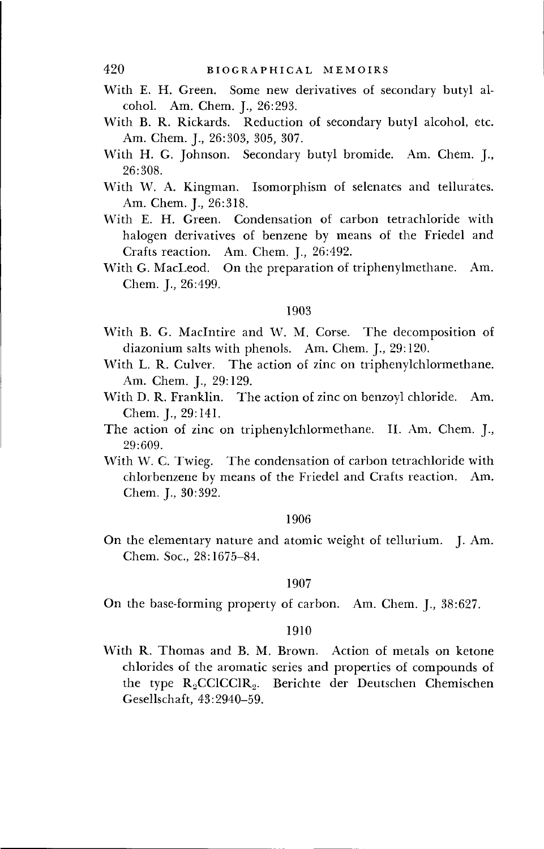- With E. H. Green. Some new derivatives of secondary butyl alcohol. Am. Chem. J., 26:293.
- With B. R. Rickards. Reduction of secondary butyl alcohol, etc. Am. Chem. J., 26:303, 305, 307.
- With H. G. Johnson. Secondary butyl bromide. Am. Chem. J., 26:308.
- With W. A. Kingman. Isomorphism of selenates and tellurates. Am. Chem. J., 26:318.
- With E. H. Green. Condensation of carbon tetrachloride with halogen derivatives of benzene by means of the Friedel and Crafts reaction. Am. Chem. J., 26:492.
- With G. MacLeod. On the preparation of triphenylmethane. Am. Chem. J., 26:499.

- With B. G. Maclntire and W. M. Corse. The decomposition of diazonium salts with phenols. Am. Chem. J., 29:120.
- With L. R. Culver. The action of zinc on triphenylchlormethane. Am. Chem. J., 29:129.
- With D. R. Franklin. The action of zinc on benzoyl chloride. Am. Chem. J., 29:141.
- The action of zinc on triphenylchlormethane. II. Am. Chem. J., 29:609.
- With W. C. Twieg. The condensation of carbon tetrachloride with chlorbenzene by means of the Friedel and Crafts reaction. Am. Chem. J., 30:392.

## 1906

On the elementary nature and atomic weight of tellurium. J. Am. Chem. Soc, 28:1675-84.

### 1907

On the base-forming property of carbon. Am. Chem. J., 38:627.

## 1910

With R. Thomas and B. M. Brown. Action of metals on ketone chlorides of the aromatic series and properties of compounds of the type R<sub>2</sub>CCICCIR<sub>2</sub>. Berichte der Deutschen Chemischen Gesellschaft, 43:2940-59.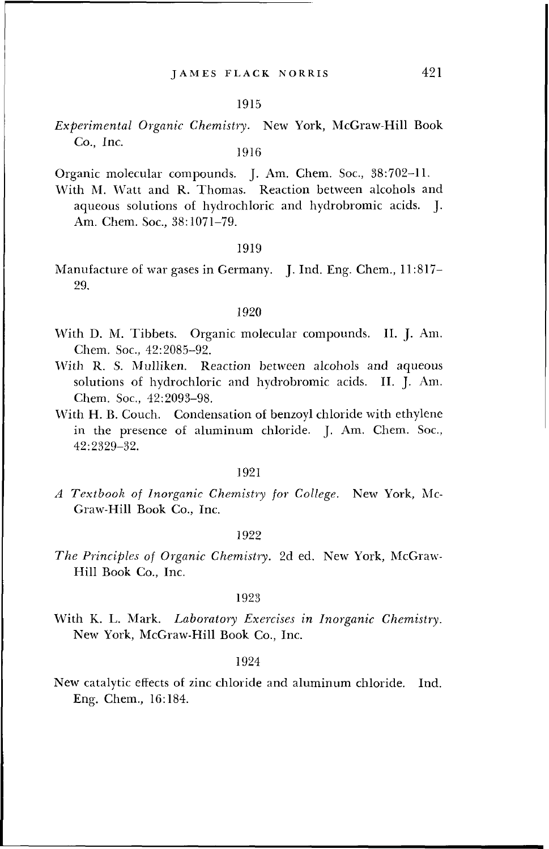*Experimental Organic Chemistry.* New York, McGraw-Hill Book Co., Inc.

1916

Organic molecular compounds. J. Am. Chem. Soc, 38:702-11.

With M. Watt and R. Thomas. Reaction between alcohols and aqueous solutions of hydrochloric and hydrobromic acids. J. Am. Chem. Soc, 38:1071-79.

## 1919

Manufacture of war gases in Germany. J. Ind. Eng. Chem., 11:817- 29.

### 1920

- With D. M. Tibbets. Organic molecular compounds. II. J. Am. Chem. Soc, 42:2085-92.
- With R. S. Mulliken. Reaction between alcohols and aqueous solutions of hydrochloric and hydrobromic acids. II. J. Am. Chem. Soc, 42:2093-98.
- With H. B. Couch. Condensation of benzoyl chloride with ethylene in the presence of aluminum chloride. J. Am. Chem. Soc, 42:2329-32.

## 1921

*A Textbook of Inorganic Chemistry for College.* New York, Mc-Graw-Hill Book Co., Inc.

#### 1922

*The Principles of Organic Chemistry.* 2d ed. New York, McGraw-Hill Book Co., Inc.

#### 1923

With K. L. Mark. *Laboratory Exercises in Inorganic Chemistry.* New York, McGraw-Hill Book Co., Inc.

## 1924

New catalytic effects of zinc chloride and aluminum chloride. Ind. Eng. Chem., 16:184.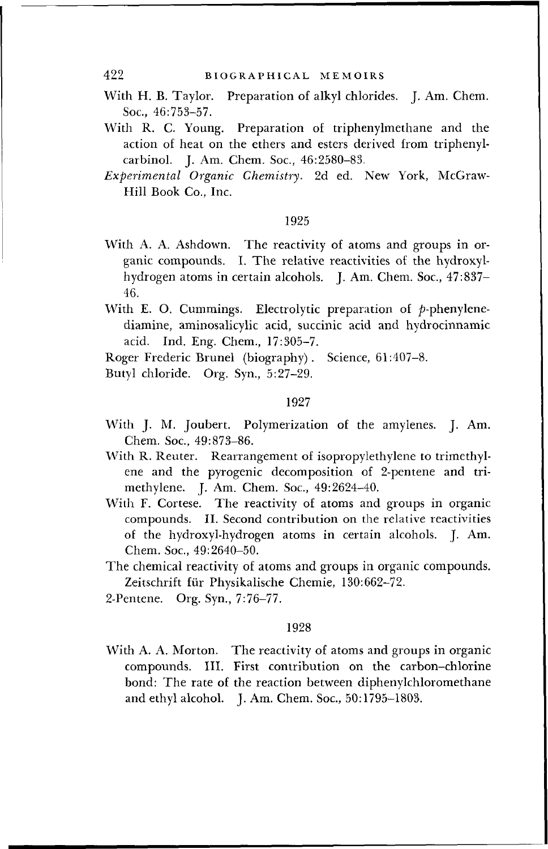- With H. B. Taylor. Preparation of alkyl chlorides. J. Am. Chem. Soc, 46:753-57.
- With R. C. Young. Preparation of triphenylmethane and the action of heat on the ethers and esters derived from triphenylcarbinol. J. Am. Chem. Soc, 46:2580-83.
- *Experimental Organic Chemistry.* 2d ed. New York, McGraw-Hill Book Co., Inc.

- With A. A. Ashdown. The reactivity of atoms and groups in organic compounds. I. The relative reactivities of the hydroxylhydrogen atoms in certain alcohols. J. Am. Chem. Soc, 47:837- 46.
- With E. O. Cummings. Electrolytic preparation of  $p$ -phenylenediamine, aminosalicylic acid, succinic acid and hydrocinnamic acid. Ind. Eng. Chem, 17:305-7.

Roger Frederic Brunei (biography). Science, 61:407-8.

Butyl chloride. Org. Syn., 5:27-29.

#### 1927

- With J. M. Joubert. Polymerization of the amylenes. J. Am. Chem. Soc, 49:873-86.
- With R. Reuter. Rearrangement of isopropylethylene to trimethylene and the pyrogenic decomposition of 2-pentene and trimethylene. J. Am. Chem. Soc, 49:2624-40.
- With F. Cortese. The reactivity of atoms and groups in organic compounds. II. Second contribution on the relative reactivities of the hydroxyl-hydrogen atoms in certain alcohols. J. Am. Chem. Soc, 49:2640-50.
- The chemical reactivity of atoms and groups in organic compounds. Zeitschrift fur Physikalische Chemie, 130:662-72.
- 2-Pentene. Org. Syn., 7:76-77.

## 1928

With A. A. Morton. The reactivity of atoms and groups in organic compounds. III. First contribution on the carbon-chlorine bond: The rate of the reaction between diphenylchloromethane and ethyl alcohol. J. Am. Chem. Soc, 50:1795-1803.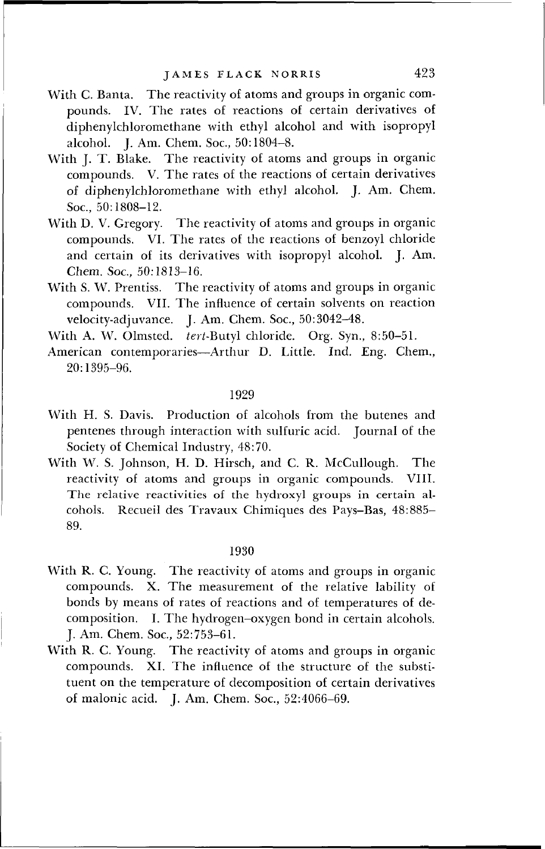- With C. Banta. The reactivity of atoms and groups in organic compounds. IV. The rates of reactions of certain derivatives of diphenylchloromethane with ethyl alcohol and with isopropyl alcohol. J. Am. Chem. Soc, 50:1804-8.
- With J. T. Blake. The reactivity of atoms and groups in organic compounds. V. The rates of the reactions of certain derivatives of diphenylchloromethane with ethyl alcohol. J. Am. Chem. Soc, 50:1808-12.
- With D. V. Gregory. The reactivity of atoms and groups in organic compounds. VI. The rates of the reactions of benzoyl chloride and certain of its derivatives with isopropyl alcohol. J. Am. Chem. Soc, 50:1813-16.
- With S. W. Prentiss. The reactivity of atoms and groups in organic compounds. VII. The influence of certain solvents on reaction velocity-adjuvance. J. Am. Chem. Soc, 50:3042-48.

With A. W. Olmsted. *tert-Rutyl* chloride. Org. Syn., 8:50-51.

American contemporaries—Arthur D. Little. Ind. Eng. Chem., 20:1395-96.

## 1929

- With H. S. Davis. Production of alcohols from the butenes and pentenes through interaction with sulfuric acid. Journal of the Society of Chemical Industry, 48:70.
- With W. S. Johnson, H. D. Hirsch, and C. R. McCullough. The reactivity of atoms and groups in organic compounds. VIII. The relative reactivities of the hydroxyl groups in certain alcohols. Recueil des Travaux Chimiques des Pays-Bas, 48:885- 89.

## 1930

- With R. C. Young. The reactivity of atoms and groups in organic compounds. X. The measurement of the relative lability of bonds by means of rates of reactions and of temperatures of decomposition. I. The hydrogen-oxygen bond in certain alcohols. J. Am. Chem. Soc, 52:753-61.
- With R. C. Young. The reactivity of atoms and groups in organic compounds. XL The influence of the structure of the substituent on the temperature of decomposition of certain derivatives of malonic acid. J. Am. Chem. Soc, 52:4066-69.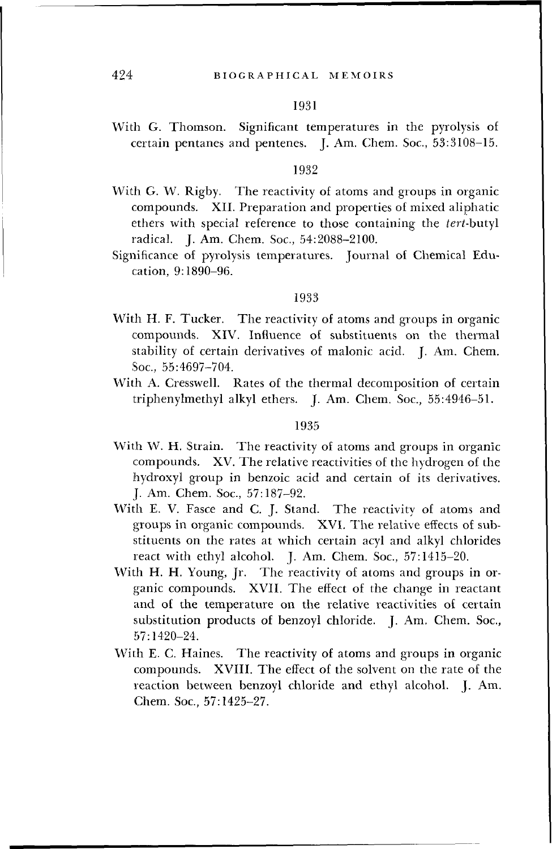With G. Thomson. Significant temperatures in the pyrolysis of certain pentanes and pentenes. I. Am. Chem. Soc., 53:3108-15.

#### 1932

- With G. W. Rigby. The reactivity of atoms and groups in organic compounds. XII. Preparation and properties of mixed aliphatic ethers with special reference to those containing the *tert-butyl* radical. J. Am. Chem. Soc, 54:2088-2100.
- Significance of pyrolysis temperatures. Journal of Chemical Education, 9:1890-96.

#### 1933

- With H. F. Tucker. The reactivity of atoms and groups in organic compounds. XIV. Influence of substituents on the thermal stability of certain derivatives of malonic acid. J. Am. Chem. Soc, 55:4697-704.
- With A. Cresswell. Rates of the thermal decomposition of certain triphenylmethyl alkyl ethers. J. Am. Chem. Soc, 55:4946-51.

#### 1935

- With W. H. Strain. The reactivity of atoms and groups in organic compounds. XV. The relative reactivities of the hydrogen of the hydroxyl group in benzoic acid and certain of its derivatives. J. Am. Chem. Soc, 57:187-92.
- With E. V. Fasce and C. J. Stand. The reactivity of atoms and groups in organic compounds. XVI. The relative effects of substituents on the rates at which certain acyl and alkyl chlorides react with ethyl alcohol. J. Am. Chem. Soc, 57:1415-20.
- With H. H. Young, Jr. The reactivity of atoms and groups in organic compounds. XVII. The effect of the change in reactant and of the temperature on the relative reactivities of certain substitution products of benzoyl chloride. J. Am. Chem. Soc, 57:1420-24.
- With E. C. Haines. The reactivity of atoms and groups in organic compounds. XVIII. The effect of the solvent on the rate of the reaction between benzoyl chloride and ethyl alcohol. J. Am. Chem. Soc, 57:1425-27.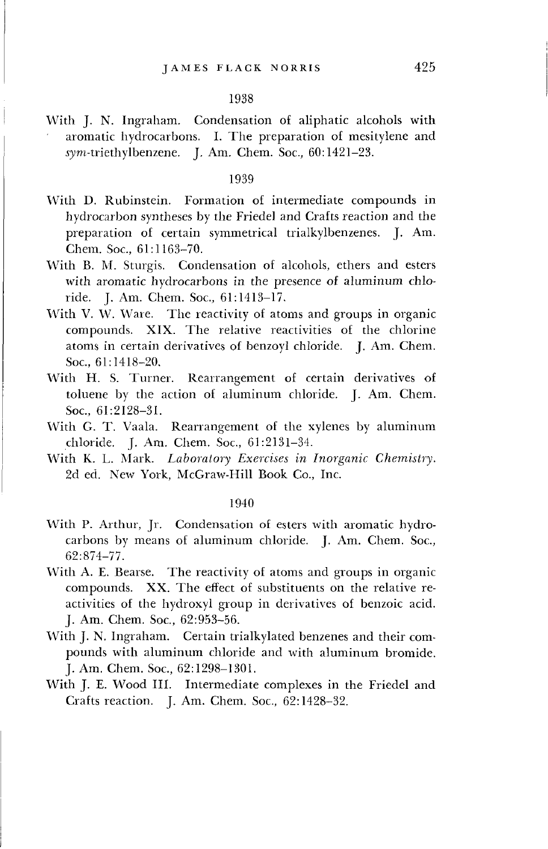With J. N. Ingraham. Condensation of aliphatic alcohols with aromatic hydrocarbons. I. The preparation of mesitylene and sym-triethylbenzene. J. Am. Chem. Soc., 60:1421-23.

## 1939

- With D. Rubinstein. Formation of intermediate compounds in hydrocarbon syntheses by the Friedel and Crafts reaction and the preparation of certain symmetrical trialkylbenzenes. J. Am. Chem. Soc, 61:1163-70.
- With B. M. Sturgis. Condensation of alcohols, ethers and esters with aromatic hydrocarbons in the presence of aluminum chloride. J. Am. Chem. Soc, 61:1413-17.
- With V. W. Ware. The reactivity of atoms and groups in organic compounds. XIX. The relative reactivities of the chlorine atoms in certain derivatives of benzoyl chloride. J. Am. Chem. Soc, 61:1418-20.
- With H. S. Turner. Rearrangement of certain derivatives of toluene by the action of aluminum chloride. J. Am. Chem. Soc, 61:2128-31.
- With G. T. Vaala. Rearrangement of the xylenes by aluminum chloride. J. Am. Chem. Soc, 61:2131-34.
- With K. L. Mark. *Laboratory Exercises in Inorganic Chemistry.* 2d ed. New York, McGraw-Hill Book Co., Inc.

#### 1940

- With P. Arthur, Jr. Condensation of esters with aromatic hydrocarbons by means of aluminum chloride. J. Am. Chem. Soc, 62:874-77.
- With A. E. Bearse. The reactivity of atoms and groups in organic compounds. XX. The effect of substituents on the relative reactivities of the hydroxyl group in derivatives of benzoic acid. J. Am. Chem. Soc, 62:953-56.
- With J. N. Ingraham. Certain trialkylated benzenes and their compounds with aluminum chloride and with aluminum bromide. J. Am. Chem. Soc, 62:1298-1301.
- With J. E. Wood III. Intermediate complexes in the Friedel and Crafts reaction. J. Am. Chem. Soc, 62:1428-32.